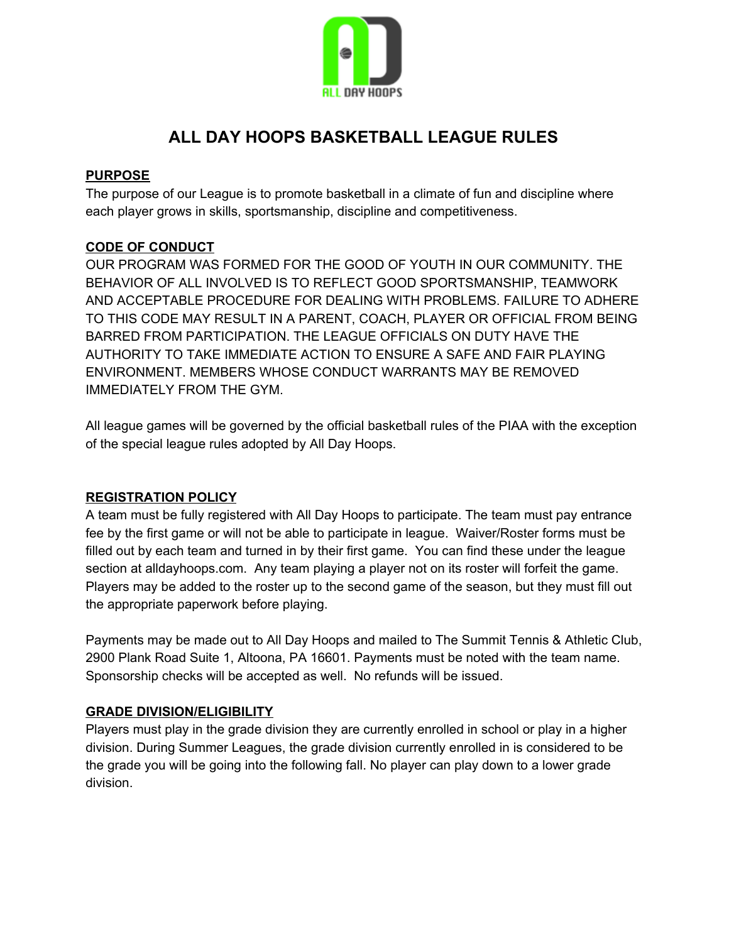

# **ALL DAY HOOPS BASKETBALL LEAGUE RULES**

#### **PURPOSE**

The purpose of our League is to promote basketball in a climate of fun and discipline where each player grows in skills, sportsmanship, discipline and competitiveness.

## **CODE OF CONDUCT**

OUR PROGRAM WAS FORMED FOR THE GOOD OF YOUTH IN OUR COMMUNITY. THE BEHAVIOR OF ALL INVOLVED IS TO REFLECT GOOD SPORTSMANSHIP, TEAMWORK AND ACCEPTABLE PROCEDURE FOR DEALING WITH PROBLEMS. FAILURE TO ADHERE TO THIS CODE MAY RESULT IN A PARENT, COACH, PLAYER OR OFFICIAL FROM BEING BARRED FROM PARTICIPATION. THE LEAGUE OFFICIALS ON DUTY HAVE THE AUTHORITY TO TAKE IMMEDIATE ACTION TO ENSURE A SAFE AND FAIR PLAYING ENVIRONMENT. MEMBERS WHOSE CONDUCT WARRANTS MAY BE REMOVED IMMEDIATELY FROM THE GYM.

All league games will be governed by the official basketball rules of the PIAA with the exception of the special league rules adopted by All Day Hoops.

#### **REGISTRATION POLICY**

A team must be fully registered with All Day Hoops to participate. The team must pay entrance fee by the first game or will not be able to participate in league. Waiver/Roster forms must be filled out by each team and turned in by their first game. You can find these under the league section at alldayhoops.com. Any team playing a player not on its roster will forfeit the game. Players may be added to the roster up to the second game of the season, but they must fill out the appropriate paperwork before playing.

Payments may be made out to All Day Hoops and mailed to The Summit Tennis & Athletic Club, 2900 Plank Road Suite 1, Altoona, PA 16601. Payments must be noted with the team name. Sponsorship checks will be accepted as well. No refunds will be issued.

#### **GRADE DIVISION/ELIGIBILITY**

Players must play in the grade division they are currently enrolled in school or play in a higher division. During Summer Leagues, the grade division currently enrolled in is considered to be the grade you will be going into the following fall. No player can play down to a lower grade division.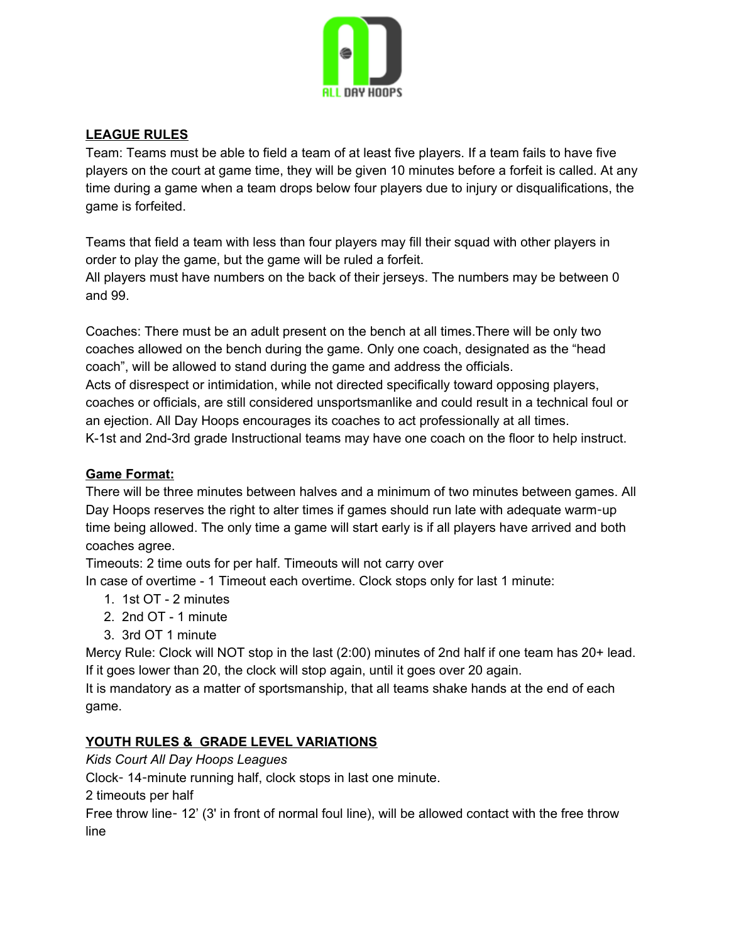

## **LEAGUE RULES**

Team: Teams must be able to field a team of at least five players. If a team fails to have five players on the court at game time, they will be given 10 minutes before a forfeit is called. At any time during a game when a team drops below four players due to injury or disqualifications, the game is forfeited.

Teams that field a team with less than four players may fill their squad with other players in order to play the game, but the game will be ruled a forfeit. All players must have numbers on the back of their jerseys. The numbers may be between 0 and 99.

Coaches: There must be an adult present on the bench at all times.There will be only two coaches allowed on the bench during the game. Only one coach, designated as the "head coach", will be allowed to stand during the game and address the officials.

Acts of disrespect or intimidation, while not directed specifically toward opposing players, coaches or officials, are still considered unsportsmanlike and could result in a technical foul or an ejection. All Day Hoops encourages its coaches to act professionally at all times. K-1st and 2nd-3rd grade Instructional teams may have one coach on the floor to help instruct.

## **Game Format:**

There will be three minutes between halves and a minimum of two minutes between games. All Day Hoops reserves the right to alter times if games should run late with adequate warm-up time being allowed. The only time a game will start early is if all players have arrived and both coaches agree.

Timeouts: 2 time outs for per half. Timeouts will not carry over

In case of overtime - 1 Timeout each overtime. Clock stops only for last 1 minute:

- 1. 1st OT 2 minutes
- 2. 2nd OT 1 minute
- 3. 3rd OT 1 minute

Mercy Rule: Clock will NOT stop in the last (2:00) minutes of 2nd half if one team has 20+ lead. If it goes lower than 20, the clock will stop again, until it goes over 20 again.

It is mandatory as a matter of sportsmanship, that all teams shake hands at the end of each game.

## **YOUTH RULES & GRADE LEVEL VARIATIONS**

*Kids Court All Day Hoops Leagues*

Clock- 14-minute running half, clock stops in last one minute.

2 timeouts per half

Free throw line- 12' (3' in front of normal foul line), will be allowed contact with the free throw line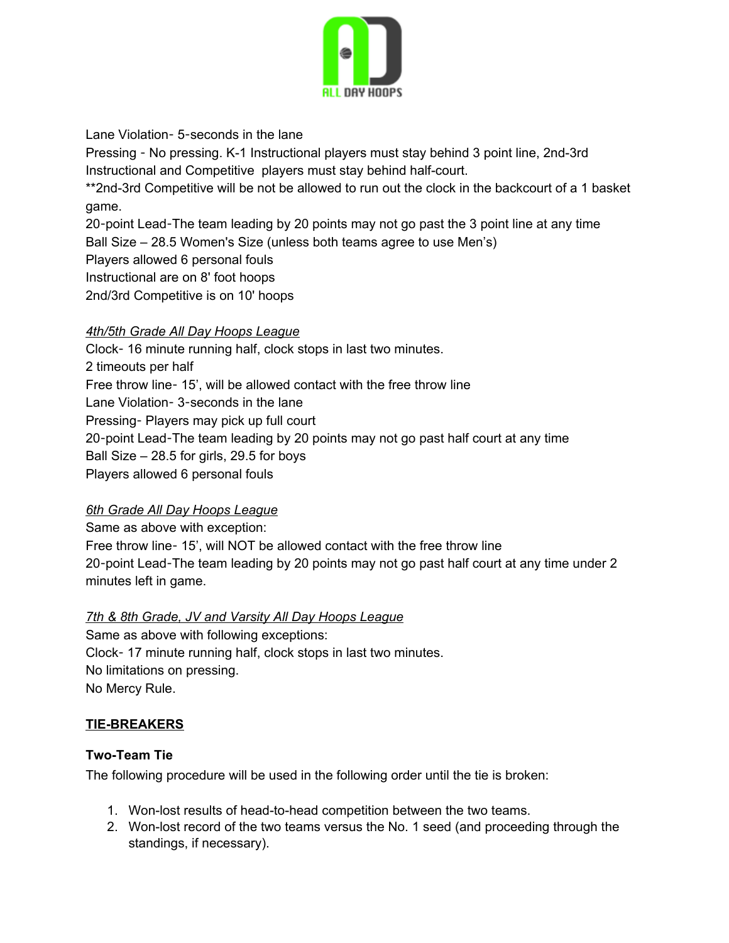

Lane Violation- 5-seconds in the lane

Pressing - No pressing. K-1 Instructional players must stay behind 3 point line, 2nd-3rd Instructional and Competitive players must stay behind half-court. \*\*2nd-3rd Competitive will be not be allowed to run out the clock in the backcourt of a 1 basket

game. 20-point Lead-The team leading by 20 points may not go past the 3 point line at any time Ball Size – 28.5 Women's Size (unless both teams agree to use Men's) Players allowed 6 personal fouls Instructional are on 8' foot hoops 2nd/3rd Competitive is on 10' hoops

## *4th/5th Grade All Day Hoops League*

Clock- 16 minute running half, clock stops in last two minutes. 2 timeouts per half Free throw line- 15', will be allowed contact with the free throw line Lane Violation- 3-seconds in the lane Pressing- Players may pick up full court 20-point Lead-The team leading by 20 points may not go past half court at any time Ball Size – 28.5 for girls, 29.5 for boys Players allowed 6 personal fouls

## *6th Grade All Day Hoops League*

Same as above with exception:

Free throw line- 15', will NOT be allowed contact with the free throw line 20-point Lead-The team leading by 20 points may not go past half court at any time under 2 minutes left in game.

## *7th & 8th Grade, JV and Varsity All Day Hoops League*

Same as above with following exceptions: Clock- 17 minute running half, clock stops in last two minutes. No limitations on pressing. No Mercy Rule.

## **TIE-BREAKERS**

## **Two-Team Tie**

The following procedure will be used in the following order until the tie is broken:

- 1. Won-lost results of head-to-head competition between the two teams.
- 2. Won-lost record of the two teams versus the No. 1 seed (and proceeding through the standings, if necessary).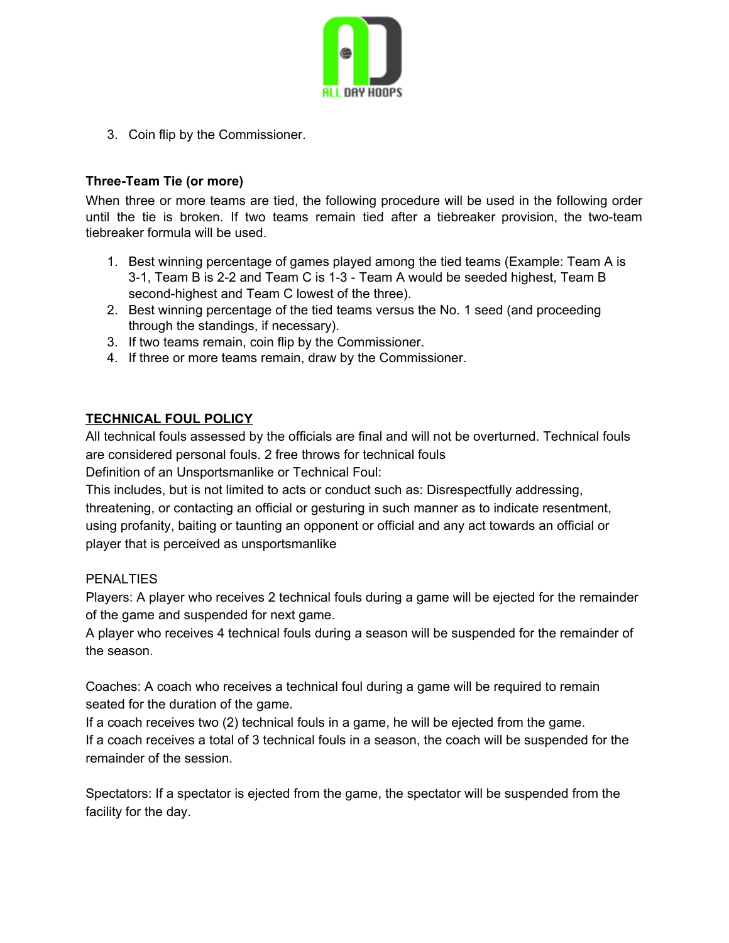

3. Coin flip by the Commissioner.

## **Three-Team Tie (or more)**

When three or more teams are tied, the following procedure will be used in the following order until the tie is broken. If two teams remain tied after a tiebreaker provision, the two-team tiebreaker formula will be used.

- 1. Best winning percentage of games played among the tied teams (Example: Team A is 3-1, Team B is 2-2 and Team C is 1-3 - Team A would be seeded highest, Team B second-highest and Team C lowest of the three).
- 2. Best winning percentage of the tied teams versus the No. 1 seed (and proceeding through the standings, if necessary).
- 3. If two teams remain, coin flip by the Commissioner.
- 4. If three or more teams remain, draw by the Commissioner.

## **TECHNICAL FOUL POLICY**

All technical fouls assessed by the officials are final and will not be overturned. Technical fouls are considered personal fouls. 2 free throws for technical fouls

Definition of an Unsportsmanlike or Technical Foul:

This includes, but is not limited to acts or conduct such as: Disrespectfully addressing, threatening, or contacting an official or gesturing in such manner as to indicate resentment, using profanity, baiting or taunting an opponent or official and any act towards an official or player that is perceived as unsportsmanlike

#### **PENALTIES**

Players: A player who receives 2 technical fouls during a game will be ejected for the remainder of the game and suspended for next game.

A player who receives 4 technical fouls during a season will be suspended for the remainder of the season.

Coaches: A coach who receives a technical foul during a game will be required to remain seated for the duration of the game.

If a coach receives two (2) technical fouls in a game, he will be ejected from the game. If a coach receives a total of 3 technical fouls in a season, the coach will be suspended for the remainder of the session.

Spectators: If a spectator is ejected from the game, the spectator will be suspended from the facility for the day.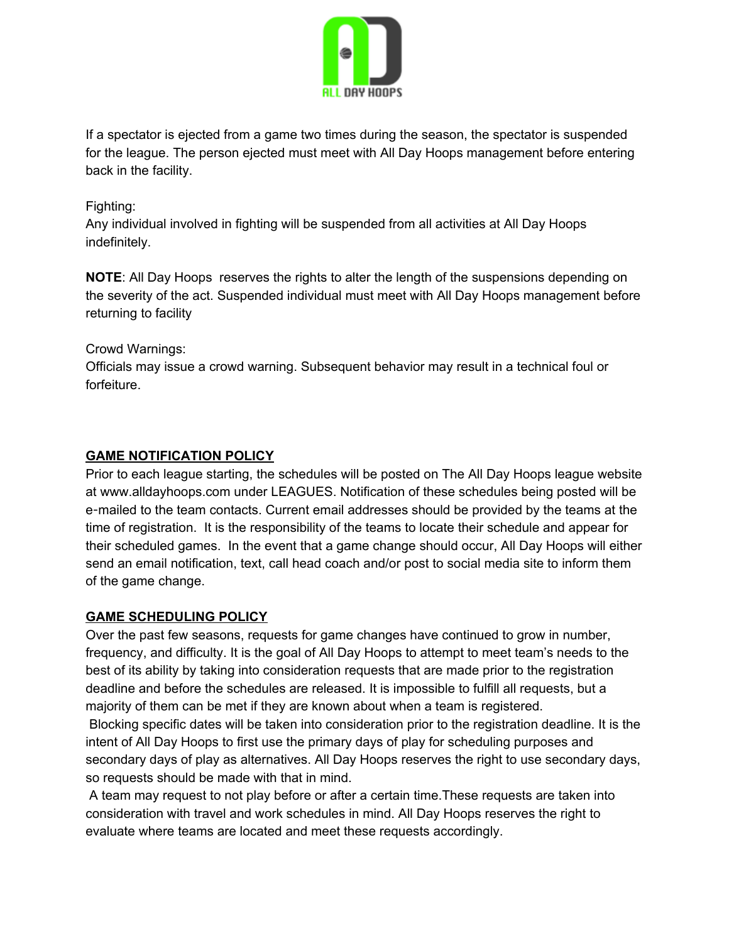

If a spectator is ejected from a game two times during the season, the spectator is suspended for the league. The person ejected must meet with All Day Hoops management before entering back in the facility.

#### Fighting:

Any individual involved in fighting will be suspended from all activities at All Day Hoops indefinitely.

**NOTE**: All Day Hoops reserves the rights to alter the length of the suspensions depending on the severity of the act. Suspended individual must meet with All Day Hoops management before returning to facility

## Crowd Warnings:

Officials may issue a crowd warning. Subsequent behavior may result in a technical foul or forfeiture.

## **GAME NOTIFICATION POLICY**

Prior to each league starting, the schedules will be posted on The All Day Hoops league website at www.alldayhoops.com under LEAGUES. Notification of these schedules being posted will be e-mailed to the team contacts. Current email addresses should be provided by the teams at the time of registration. It is the responsibility of the teams to locate their schedule and appear for their scheduled games. In the event that a game change should occur, All Day Hoops will either send an email notification, text, call head coach and/or post to social media site to inform them of the game change.

#### **GAME SCHEDULING POLICY**

Over the past few seasons, requests for game changes have continued to grow in number, frequency, and difficulty. It is the goal of All Day Hoops to attempt to meet team's needs to the best of its ability by taking into consideration requests that are made prior to the registration deadline and before the schedules are released. It is impossible to fulfill all requests, but a majority of them can be met if they are known about when a team is registered.

Blocking specific dates will be taken into consideration prior to the registration deadline. It is the intent of All Day Hoops to first use the primary days of play for scheduling purposes and secondary days of play as alternatives. All Day Hoops reserves the right to use secondary days, so requests should be made with that in mind.

A team may request to not play before or after a certain time.These requests are taken into consideration with travel and work schedules in mind. All Day Hoops reserves the right to evaluate where teams are located and meet these requests accordingly.